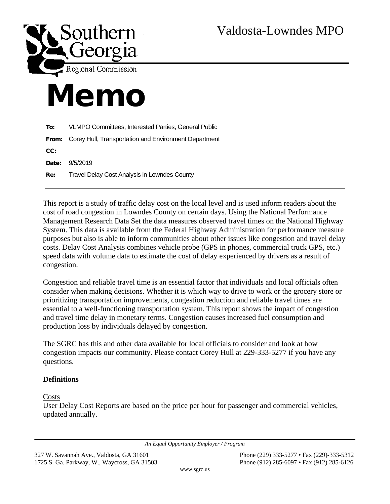

# Memo

| To:        | VLMPO Committees, Interested Parties, General Public        |
|------------|-------------------------------------------------------------|
|            | From: Corey Hull, Transportation and Environment Department |
| CC:        |                                                             |
| Date:      | 9/5/2019                                                    |
| <b>Re:</b> | Travel Delay Cost Analysis in Lowndes County                |
|            |                                                             |

This report is a study of traffic delay cost on the local level and is used inform readers about the cost of road congestion in Lowndes County on certain days. Using the National Performance Management Research Data Set the data measures observed travel times on the National Highway System. This data is available from the Federal Highway Administration for performance measure purposes but also is able to inform communities about other issues like congestion and travel delay costs. Delay Cost Analysis combines vehicle probe (GPS in phones, commercial truck GPS, etc.) speed data with volume data to estimate the cost of delay experienced by drivers as a result of congestion.

Congestion and reliable travel time is an essential factor that individuals and local officials often consider when making decisions. Whether it is which way to drive to work or the grocery store or prioritizing transportation improvements, congestion reduction and reliable travel times are essential to a well-functioning transportation system. This report shows the impact of congestion and travel time delay in monetary terms. Congestion causes increased fuel consumption and production loss by individuals delayed by congestion.

The SGRC has this and other data available for local officials to consider and look at how congestion impacts our community. Please contact Corey Hull at 229-333-5277 if you have any questions.

# **Definitions**

Costs

User Delay Cost Reports are based on the price per hour for passenger and commercial vehicles, updated annually.

*An Equal Opportunity Employer / Program*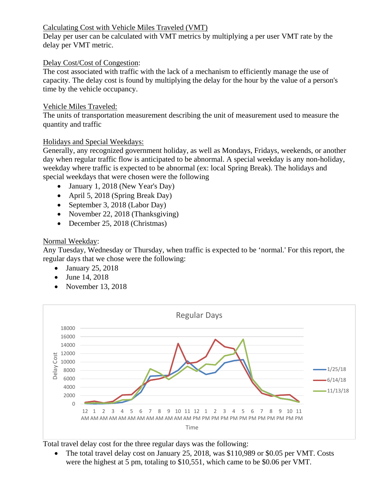## Calculating Cost with Vehicle Miles Traveled (VMT)

Delay per user can be calculated with VMT metrics by multiplying a per user VMT rate by the delay per VMT metric.

#### Delay Cost/Cost of Congestion:

The cost associated with traffic with the lack of a mechanism to efficiently manage the use of capacity. The delay cost is found by multiplying the delay for the hour by the value of a person's time by the vehicle occupancy.

#### Vehicle Miles Traveled:

The units of transportation measurement describing the unit of measurement used to measure the quantity and traffic

## Holidays and Special Weekdays:

Generally, any recognized government holiday, as well as Mondays, Fridays, weekends, or another day when regular traffic flow is anticipated to be abnormal. A special weekday is any non-holiday, weekday where traffic is expected to be abnormal (ex: local Spring Break). The holidays and special weekdays that were chosen were the following

- January 1, 2018 (New Year's Day)
- April 5, 2018 (Spring Break Day)
- September 3, 2018 (Labor Day)
- November 22, 2018 (Thanksgiving)
- December 25, 2018 (Christmas)

## Normal Weekday:

Any Tuesday, Wednesday or Thursday, when traffic is expected to be 'normal.' For this report, the regular days that we chose were the following:

- January 25, 2018
- June 14, 2018
- November 13, 2018



Total travel delay cost for the three regular days was the following:

• The total travel delay cost on January 25, 2018, was \$110,989 or \$0.05 per VMT. Costs were the highest at 5 pm, totaling to \$10,551, which came to be \$0.06 per VMT.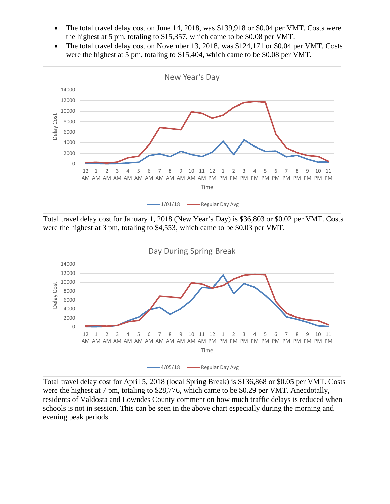- The total travel delay cost on June 14, 2018, was \$139,918 or \$0.04 per VMT. Costs were the highest at 5 pm, totaling to \$15,357, which came to be \$0.08 per VMT.
- The total travel delay cost on November 13, 2018, was \$124,171 or \$0.04 per VMT. Costs were the highest at 5 pm, totaling to \$15,404, which came to be \$0.08 per VMT.



Total travel delay cost for January 1, 2018 (New Year's Day) is \$36,803 or \$0.02 per VMT. Costs were the highest at 3 pm, totaling to \$4,553, which came to be \$0.03 per VMT.



Total travel delay cost for April 5, 2018 (local Spring Break) is \$136,868 or \$0.05 per VMT. Costs were the highest at 7 pm, totaling to \$28,776, which came to be \$0.29 per VMT. Anecdotally, residents of Valdosta and Lowndes County comment on how much traffic delays is reduced when schools is not in session. This can be seen in the above chart especially during the morning and evening peak periods.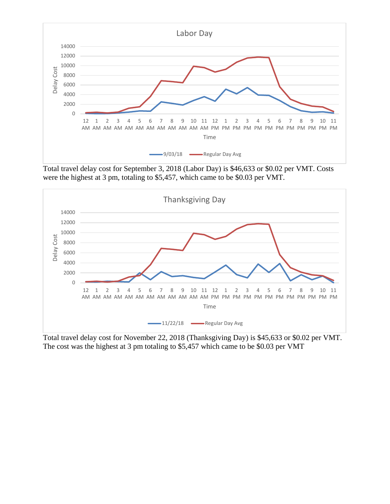

Total travel delay cost for September 3, 2018 (Labor Day) is \$46,633 or \$0.02 per VMT. Costs were the highest at 3 pm, totaling to \$5,457, which came to be \$0.03 per VMT.



Total travel delay cost for November 22, 2018 (Thanksgiving Day) is \$45,633 or \$0.02 per VMT. The cost was the highest at 3 pm totaling to \$5,457 which came to be \$0.03 per VMT